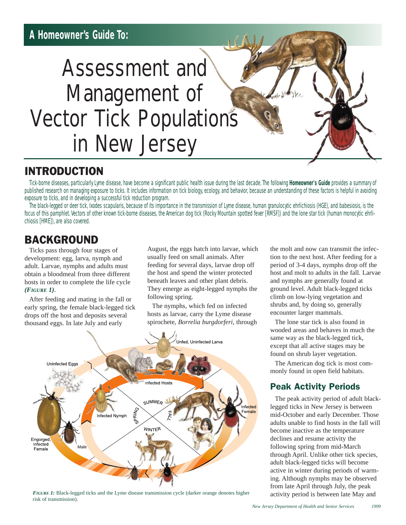# Assessment and Management of Vector Tick Populations in New Jersey

## INTRODUCTION

Tick-borne diseases, particularly Lyme disease, have become a significant public health issue during the last decade. The following **Homeowner's Guide** provides a summary of published research on managing exposure to ticks. It includes information on tick biology, ecology, and behavior, because an understanding of these factors is helpful in avoiding exposure to ticks, and in developing a successful tick reduction program.

The black-legged or deer tick, *Ixodes scapularis*, because of its importance in the transmission of Lyme disease, human granulocytic ehrlichiosis (HGE), and babesiosis, is the focus of this pamphlet. Vectors of other known tick-borne diseases, the American dog tick (Rocky Mountain spotted fever [RMSF]) and the lone star tick (human monocytic ehrlichiosis [HME]), are also covered.

## BACKGROUND

Ticks pass through four stages of development: egg, larva, nymph and adult. Larvae, nymphs and adults must obtain a bloodmeal from three different hosts in order to complete the life cycle *(FIGURE 1)*.

After feeding and mating in the fall or early spring, the female black-legged tick drops off the host and deposits several thousand eggs. In late July and early

August, the eggs hatch into larvae, which usually feed on small animals. After feeding for several days, larvae drop off the host and spend the winter protected beneath leaves and other plant debris. They emerge as eight-legged nymphs the following spring.

The nymphs, which fed on infected hosts as larvae, carry the Lyme disease spirochete, *Borrelia burgdorferi,* through



*FIGURE* 1: Black-legged ticks and the Lyme disease transmission cycle (darker orange denotes higher risk of transmission).

the molt and now can transmit the infection to the next host. After feeding for a period of 3-4 days, nymphs drop off the host and molt to adults in the fall. Larvae and nymphs are generally found at ground level. Adult black-legged ticks climb on low-lying vegetation and shrubs and, by doing so, generally encounter larger mammals.

The lone star tick is also found in wooded areas and behaves in much the same way as the black-legged tick, except that all active stages may be found on shrub layer vegetation.

The American dog tick is most commonly found in open field habitats.

## Peak Activity Periods

The peak activity period of adult blacklegged ticks in New Jersey is between mid-October and early December. Those adults unable to find hosts in the fall will become inactive as the temperature declines and resume activity the following spring from mid-March through April. Unlike other tick species, adult black-legged ticks will become active in winter during periods of warming. Although nymphs may be observed from late April through July, the peak activity period is between late May and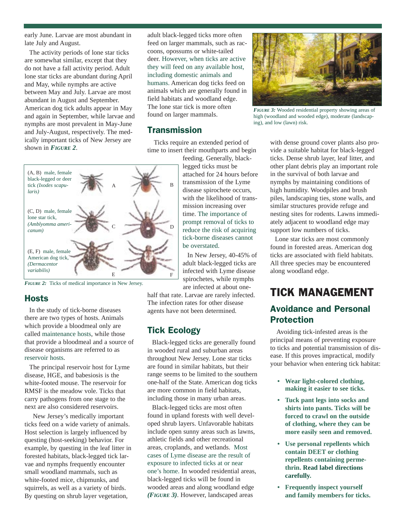early June. Larvae are most abundant in late July and August.

The activity periods of lone star ticks are somewhat similar, except that they do not have a fall activity period. Adult lone star ticks are abundant during April and May, while nymphs are active between May and July. Larvae are most abundant in August and September. American dog tick adults appear in May and again in September, while larvae and nymphs are most prevalent in May-June and July-August, respectively. The medically important ticks of New Jersey are shown in *FIGURE 2*.

adult black-legged ticks more often feed on larger mammals, such as raccoons, opossums or white-tailed deer. However, when ticks are active they will feed on any available host, including domestic animals and humans. American dog ticks feed on animals which are generally found in field habitats and woodland edge. The lone star tick is more often found on larger mammals.

#### **Transmission**

Ticks require an extended period of time to insert their mouthparts and begin



*FIGURE* 2: Ticks of medical importance in New Jersey.

#### **Hosts**

In the study of tick-borne diseases there are two types of hosts. Animals which provide a bloodmeal only are called maintenance hosts, while those that provide a bloodmeal and a source of disease organisms are referred to as reservoir hosts.

The principal reservoir host for Lyme disease, HGE, and babesiosis is the white-footed mouse. The reservoir for RMSF is the meadow vole. Ticks that carry pathogens from one stage to the next are also considered reservoirs.

New Jersey's medically important ticks feed on a wide variety of animals. Host selection is largely influenced by questing (host-seeking) behavior. For example, by questing in the leaf litter in forested habitats, black-legged tick larvae and nymphs frequently encounter small woodland mammals, such as white-footed mice, chipmunks, and squirrels, as well as a variety of birds. By questing on shrub layer vegetation,

feeding. Generally, blacklegged ticks must be attached for 24 hours before transmission of the Lyme disease spirochete occurs, with the likelihood of transmission increasing over time. The importance of prompt removal of ticks to reduce the risk of acquiring tick-borne diseases cannot be overstated.

In New Jersey, 40-45% of adult black-legged ticks are infected with Lyme disease spirochetes, while nymphs are infected at about one-

half that rate. Larvae are rarely infected. The infection rates for other disease agents have not been determined.

### Tick Ecology

Black-legged ticks are generally found in wooded rural and suburban areas throughout New Jersey. Lone star ticks are found in similar habitats, but their range seems to be limited to the southern one-half of the State. American dog ticks are more common in field habitats, including those in many urban areas.

Black-legged ticks are most often found in upland forests with well developed shrub layers. Unfavorable habitats include open sunny areas such as lawns, athletic fields and other recreational areas, croplands, and wetlands. Most cases of Lyme disease are the result of exposure to infected ticks at or near one's home. In wooded residential areas, black-legged ticks will be found in wooded areas and along woodland edge *(FIGURE 3)*. However, landscaped areas



*FIGURE 3:* Wooded residential property showing areas of high (woodland and wooded edge), moderate (landscaping), and low (lawn) risk.

with dense ground cover plants also provide a suitable habitat for black-legged ticks. Dense shrub layer, leaf litter, and other plant debris play an important role in the survival of both larvae and nymphs by maintaining conditions of high humidity. Woodpiles and brush piles, landscaping ties, stone walls, and similar structures provide refuge and nesting sites for rodents. Lawns immediately adjacent to woodland edge may support low numbers of ticks.

Lone star ticks are most commonly found in forested areas. American dog ticks are associated with field habitats. All three species may be encountered along woodland edge.

## TICK MANAGEMENT

#### Avoidance and Personal Protection

Avoiding tick-infested areas is the principal means of preventing exposure to ticks and potential transmission of disease. If this proves impractical, modify your behavior when entering tick habitat:

- **Wear light-colored clothing, making it easier to see ticks.**
- **Tuck pant legs into socks and shirts into pants. Ticks will be forced to crawl on the outside of clothing, where they can be more easily seen and removed.**
- **Use personal repellents which contain DEET or clothing repellents containing permethrin. Read label directions carefully.**
- **Frequently inspect yourself and family members for ticks.**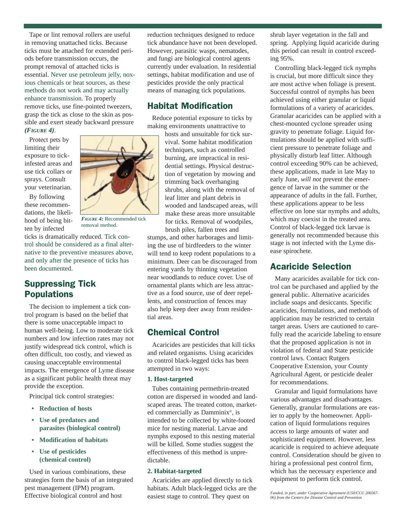Tape or lint removal rollers are useful in removing unattached ticks. Because ticks must be attached for extended periods before transmission occurs, the prompt removal of attached ticks is essential. Never use petroleum jelly, noxious chemicals or heat sources, as these methods do not work and may actually enhance transmission. To properly remove ticks, use fine-pointed tweezers, grasp the tick as close to the skin as possible and exert steady backward pressure *(FIGURE 4)*.

Protect pets by limiting their exposure to tickinfested areas and use tick collars or sprays. Consult your veterinarian.

By following these recommendations, the likelihood of being bitten by infected

*FIGURE 4:* Recommended tick removal method.

ticks is dramatically reduced. Tick control should be considered as a final alternative to the preventive measures above, and only after the presence of ticks has been documented.

#### Suppressing Tick Populations

The decision to implement a tick control program is based on the belief that there is some unacceptable impact to human well-being. Low to moderate tick numbers and low infection rates may not justify widespread tick control, which is often difficult, too costly, and viewed as causing unacceptable environmental impacts. The emergence of Lyme disease as a significant public health threat may provide the exception.

Principal tick control strategies:

- **Reduction of hosts**
- **Use of predators and parasites (biological control)**
- **Modification of habitats**
- **Use of pesticides (chemical control)**

Used in various combinations, these strategies form the basis of an integrated pest management (IPM) program. Effective biological control and host

reduction techniques designed to reduce tick abundance have not been developed. However, parasitic wasps, nematodes, and fungi are biological control agents currently under evaluation. In residential settings, habitat modification and use of pesticides provide the only practical means of managing tick populations.

#### Habitat Modification

Reduce potential exposure to ticks by making environments unattractive to

> hosts and unsuitable for tick survival. Some habitat modification techniques, such as controlled burning, are impractical in residential settings. Physical destruction of vegetation by mowing and trimming back overhanging shrubs, along with the removal of leaf litter and plant debris in wooded and landscaped areas, will make these areas more unsuitable for ticks. Removal of woodpiles, brush piles, fallen trees and

stumps, and other harborages and limiting the use of birdfeeders to the winter will tend to keep rodent populations to a minimum. Deer can be discouraged from entering yards by thinning vegetation near woodlands to reduce cover. Use of ornamental plants which are less attractive as a food source, use of deer repellents, and construction of fences may also help keep deer away from residential areas.

#### Chemical Control

Acaricides are pesticides that kill ticks and related organisms. Using acaricides to control black-legged ticks has been attempted in two ways:

#### **1. Host-targeted**

Tubes containing permethrin-treated cotton are dispersed in wooded and landscaped areas. The treated cotton, marketed commercially as Damminix®, is intended to be collected by white-footed mice for nesting material. Larvae and nymphs exposed to this nesting material will be killed. Some studies suggest the effectiveness of this method is unpredictable.

#### **2. Habitat-targeted**

Acaricides are applied directly to tick habitats. Adult black-legged ticks are the easiest stage to control. They quest on

shrub layer vegetation in the fall and spring. Applying liquid acaricide during this period can result in control exceeding 95%.

Controlling black-legged tick nymphs is crucial, but more difficult since they are most active when foliage is present. Successful control of nymphs has been achieved using either granular or liquid formulations of a variety of acaricides. Granular acaricides can be applied with a chest-mounted cyclone spreader using gravity to penetrate foliage. Liquid formulations should be applied with sufficient pressure to penetrate foliage and physically disturb leaf litter. Although control exceeding 90% can be achieved, these applications, made in late May to early June, *will not* prevent the emergence of larvae in the summer or the appearance of adults in the fall. Further, these applications appear to be less effective on lone star nymphs and adults, which may coexist in the treated area. Control of black-legged tick larvae is generally not recommended because this stage is not infected with the Lyme disease spirochete.

#### Acaricide Selection

Many acaricides available for tick control can be purchased and applied by the general public. Alternative acaricides include soaps and desiccants. Specific acaricides, formulations, and methods of application may be restricted to certain target areas. Users are cautioned to carefully read the acaricide labeling to ensure that the proposed application is not in violation of federal and State pesticide control laws. Contact Rutgers Cooperative Extension, your County Agricultural Agent, or pesticide dealer for recommendations.

Granular and liquid formulations have various advantages and disadvantages. Generally, granular formulations are easier to apply by the homeowner. Application of liquid formulations requires access to large amounts of water and sophisticated equipment. However, less acaricide is required to achieve adequate control. Consideration should be given to hiring a professional pest control firm, which has the necessary experience and equipment to perform tick control.

*Funded, in part, under Cooperative Agreement (U50/CCU 206567- 06) from the Centers for Disease Control and Prevention*